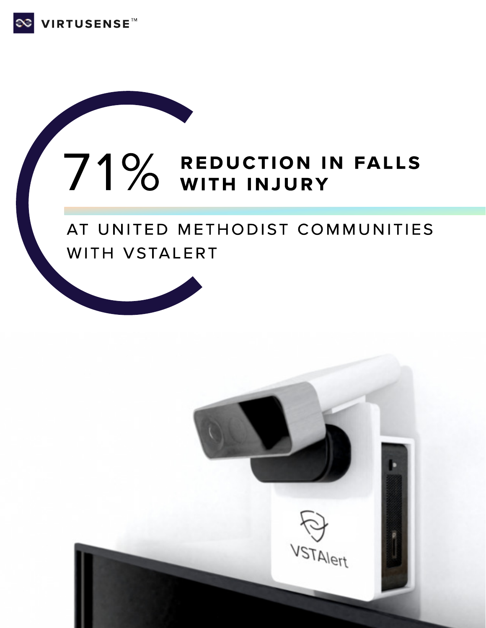

# 71% REDUCTION IN FALLS

## AT UNITED METHODIST COMMUNITIES WITH VSTALERT

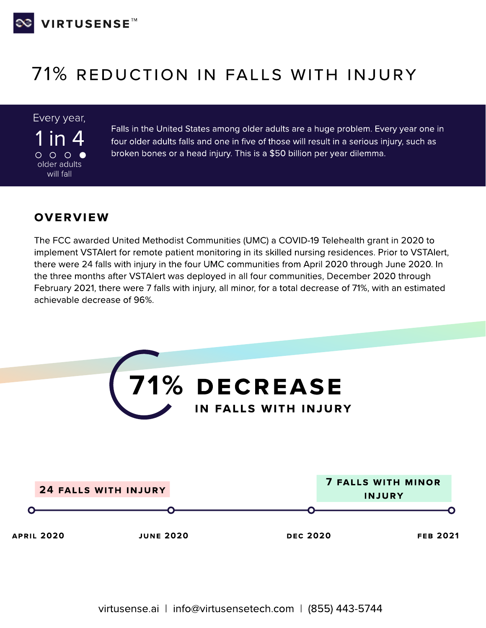

# 71% Reduction in falls with injury

Every year,

in 4  $\circ$   $\circ$   $\circ$   $\bullet$ older adults will fall

Falls in the United States among older adults are a huge problem. Every year one in four older adults falls and one in five of those will result in a serious injury, such as broken bones or a head injury. This is a \$50 billion per year dilemma.

#### OVERVIEW

The FCC awarded United Methodist Communities (UMC) a COVID-19 Telehealth grant in 2020 to implement VSTAlert for remote patient monitoring in its skilled nursing residences. Prior to VSTAlert, there were 24 falls with injury in the four UMC communities from April 2020 through June 2020. In the three months after VSTAlert was deployed in all four communities, December 2020 through February 2021, there were 7 falls with injury, all minor, for a total decrease of 71%, with an estimated achievable decrease of 96%.

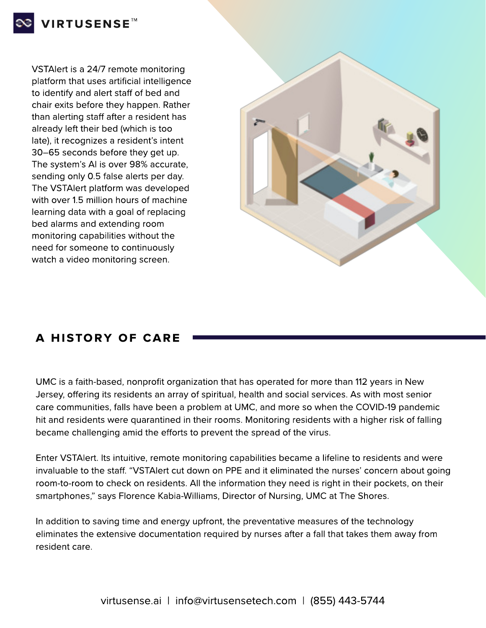

VSTAlert is a 24/7 remote monitoring platform that uses artificial intelligence to identify and alert staff of bed and chair exits before they happen. Rather than alerting staff after a resident has already left their bed (which is too late), it recognizes a resident's intent 30–65 seconds before they get up. The system's AI is over 98% accurate, sending only 0.5 false alerts per day. The VSTAlert platform was developed with over 1.5 million hours of machine learning data with a goal of replacing bed alarms and extending room monitoring capabilities without the need for someone to continuously watch a video monitoring screen.



## A HISTORY OF CARE

UMC is a faith-based, nonprofit organization that has operated for more than 112 years in New Jersey, offering its residents an array of spiritual, health and social services. As with most senior care communities, falls have been a problem at UMC, and more so when the COVID-19 pandemic hit and residents were quarantined in their rooms. Monitoring residents with a higher risk of falling became challenging amid the efforts to prevent the spread of the virus.

Enter VSTAlert. Its intuitive, remote monitoring capabilities became a lifeline to residents and were invaluable to the staff. "VSTAlert cut down on PPE and it eliminated the nurses' concern about going room-to-room to check on residents. All the information they need is right in their pockets, on their smartphones," says Florence Kabia-Williams, Director of Nursing, UMC at The Shores.

In addition to saving time and energy upfront, the preventative measures of the technology eliminates the extensive documentation required by nurses after a fall that takes them away from resident care.